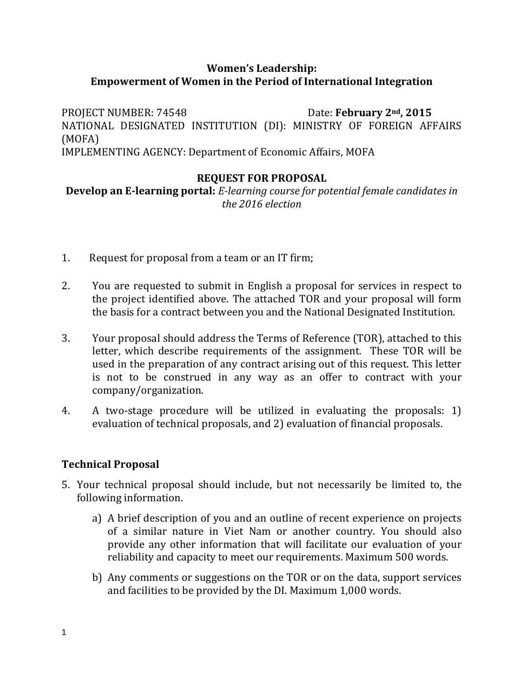# **Women's Leadership: Empowerment of Women in the Period of International Integration**

PROJECT NUMBER: 74548 Date: **February 2nd, 2015** NATIONAL DESIGNATED INSTITUTION (DI): MINISTRY OF FOREIGN AFFAIRS (MOFA) IMPLEMENTING AGENCY: Department of Economic Affairs, MOFA

### **REQUEST FOR PROPOSAL**

**Develop an E-learning portal:** *E-learning course for potential female candidates in the 2016 election* 

- 1. Request for proposal from a team or an IT firm;
- 2. You are requested to submit in English a proposal for services in respect to the project identified above. The attached TOR and your proposal will form the basis for a contract between you and the National Designated Institution.
- 3. Your proposal should address the Terms of Reference (TOR), attached to this letter, which describe requirements of the assignment. These TOR will be used in the preparation of any contract arising out of this request. This letter is not to be construed in any way as an offer to contract with your company/organization.
- 4. A two-stage procedure will be utilized in evaluating the proposals: 1) evaluation of technical proposals, and 2) evaluation of financial proposals.

# **Technical Proposal**

- 5. Your technical proposal should include, but not necessarily be limited to, the following information.
	- a) A brief description of you and an outline of recent experience on projects of a similar nature in Viet Nam or another country. You should also provide any other information that will facilitate our evaluation of your reliability and capacity to meet our requirements. Maximum 500 words.
	- b) Any comments or suggestions on the TOR or on the data, support services and facilities to be provided by the DI. Maximum 1,000 words.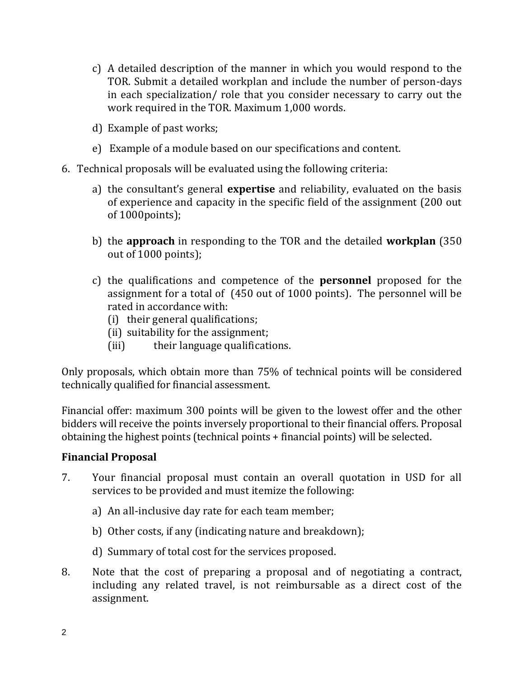- c) A detailed description of the manner in which you would respond to the TOR. Submit a detailed workplan and include the number of person-days in each specialization/ role that you consider necessary to carry out the work required in the TOR. Maximum 1,000 words.
- d) Example of past works;
- e) Example of a module based on our specifications and content.
- 6. Technical proposals will be evaluated using the following criteria:
	- a) the consultant's general **expertise** and reliability, evaluated on the basis of experience and capacity in the specific field of the assignment (200 out of 1000points);
	- b) the **approach** in responding to the TOR and the detailed **workplan** (350 out of 1000 points);
	- c) the qualifications and competence of the **personnel** proposed for the assignment for a total of (450 out of 1000 points). The personnel will be rated in accordance with:
		- (i) their general qualifications;
		- (ii) suitability for the assignment;
		- (iii) their language qualifications.

Only proposals, which obtain more than 75% of technical points will be considered technically qualified for financial assessment.

Financial offer: maximum 300 points will be given to the lowest offer and the other bidders will receive the points inversely proportional to their financial offers. Proposal obtaining the highest points (technical points + financial points) will be selected.

### **Financial Proposal**

- 7. Your financial proposal must contain an overall quotation in USD for all services to be provided and must itemize the following:
	- a) An all-inclusive day rate for each team member;
	- b) Other costs, if any (indicating nature and breakdown);
	- d) Summary of total cost for the services proposed.
- 8. Note that the cost of preparing a proposal and of negotiating a contract, including any related travel, is not reimbursable as a direct cost of the assignment.